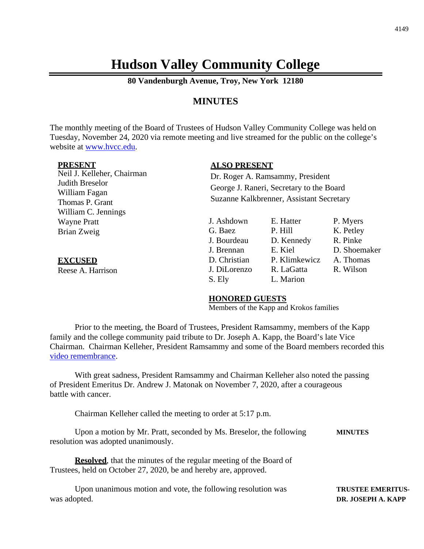# **Hudson Valley Community College**

**80 Vandenburgh Avenue, Troy, New York 12180**

# **MINUTES**

The monthly meeting of the Board of Trustees of Hudson Valley Community College was held on Tuesday, November 24, 2020 via remote meeting and live streamed for the public on the college's website at [www.hvcc.edu.](http://www.hvcc.edu/)

#### **PRESENT**

Neil J. Kelleher, Chairman Judith Breselor William Fagan Thomas P. Grant William C. Jennings Wayne Pratt Brian Zweig

**EXCUSED** Reese A. Harrison

#### **ALSO PRESENT**

Dr. Roger A. Ramsammy, President George J. Raneri, Secretary to the Board Suzanne Kalkbrenner, Assistant Secretary

J. Ashdown E. Hatter P. Myers G. Baez P. Hill K. Petley J. Bourdeau D. Kennedy R. Pinke J. Brennan E. Kiel D. Shoemaker D. Christian P. Klimkewicz A. Thomas J. DiLorenzo R. LaGatta R. Wilson S. Ely L. Marion

#### **HONORED GUESTS**

Members of the Kapp and Krokos families

Prior to the meeting, the Board of Trustees, President Ramsammy, members of the Kapp family and the college community paid tribute to Dr. Joseph A. Kapp, the Board's late Vice Chairman. Chairman Kelleher, President Ramsammy and some of the Board members recorded this [video remembrance.](https://vimeo.com/481695294/d4f99c6f69)

With great sadness, President Ramsammy and Chairman Kelleher also noted the passing of President Emeritus Dr. Andrew J. Matonak on November 7, 2020, after a courageous battle with cancer.

Chairman Kelleher called the meeting to order at 5:17 p.m.

Upon a motion by Mr. Pratt, seconded by Ms. Breselor, the following **MINUTES** resolution was adopted unanimously.

**Resolved**, that the minutes of the regular meeting of the Board of Trustees, held on October 27, 2020, be and hereby are, approved.

Upon unanimous motion and vote, the following resolution was **TRUSTEE EMERITUS** was adopted. **DR. JOSEPH A. KAPP**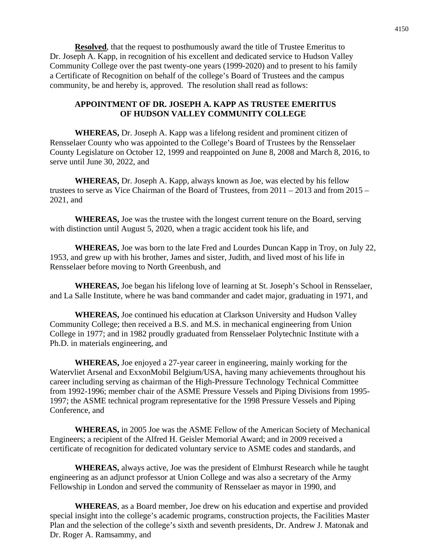**Resolved**, that the request to posthumously award the title of Trustee Emeritus to Dr. Joseph A. Kapp, in recognition of his excellent and dedicated service to Hudson Valley Community College over the past twenty-one years (1999-2020) and to present to his family a Certificate of Recognition on behalf of the college's Board of Trustees and the campus community, be and hereby is, approved. The resolution shall read as follows:

#### **APPOINTMENT OF DR. JOSEPH A. KAPP AS TRUSTEE EMERITUS OF HUDSON VALLEY COMMUNITY COLLEGE**

**WHEREAS,** Dr. Joseph A. Kapp was a lifelong resident and prominent citizen of Rensselaer County who was appointed to the College's Board of Trustees by the Rensselaer County Legislature on October 12, 1999 and reappointed on June 8, 2008 and March 8, 2016, to serve until June 30, 2022, and

**WHEREAS,** Dr. Joseph A. Kapp, always known as Joe, was elected by his fellow trustees to serve as Vice Chairman of the Board of Trustees, from 2011 – 2013 and from 2015 – 2021, and

**WHEREAS,** Joe was the trustee with the longest current tenure on the Board, serving with distinction until August 5, 2020, when a tragic accident took his life, and

**WHEREAS,** Joe was born to the late Fred and Lourdes Duncan Kapp in Troy, on July 22, 1953, and grew up with his brother, James and sister, Judith, and lived most of his life in Rensselaer before moving to North Greenbush, and

**WHEREAS,** Joe began his lifelong love of learning at St. Joseph's School in Rensselaer, and La Salle Institute, where he was band commander and cadet major, graduating in 1971, and

**WHEREAS,** Joe continued his education at Clarkson University and Hudson Valley Community College; then received a B.S. and M.S. in mechanical engineering from Union College in 1977; and in 1982 proudly graduated from Rensselaer Polytechnic Institute with a Ph.D. in materials engineering, and

**WHEREAS,** Joe enjoyed a 27-year career in engineering, mainly working for the Watervliet Arsenal and ExxonMobil Belgium/USA, having many achievements throughout his career including serving as chairman of the High-Pressure Technology Technical Committee from 1992-1996; member chair of the ASME Pressure Vessels and Piping Divisions from 1995- 1997; the ASME technical program representative for the 1998 Pressure Vessels and Piping Conference, and

**WHEREAS,** in 2005 Joe was the ASME Fellow of the American Society of Mechanical Engineers; a recipient of the Alfred H. Geisler Memorial Award; and in 2009 received a certificate of recognition for dedicated voluntary service to ASME codes and standards, and

**WHEREAS,** always active, Joe was the president of Elmhurst Research while he taught engineering as an adjunct professor at Union College and was also a secretary of the Army Fellowship in London and served the community of Rensselaer as mayor in 1990, and

**WHEREAS**, as a Board member, Joe drew on his education and expertise and provided special insight into the college's academic programs, construction projects, the Facilities Master Plan and the selection of the college's sixth and seventh presidents, Dr. Andrew J. Matonak and Dr. Roger A. Ramsammy, and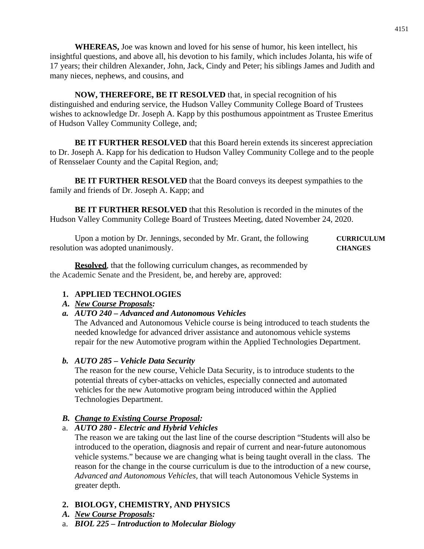**WHEREAS,** Joe was known and loved for his sense of humor, his keen intellect, his insightful questions, and above all, his devotion to his family, which includes Jolanta, his wife of 17 years; their children Alexander, John, Jack, Cindy and Peter; his siblings James and Judith and many nieces, nephews, and cousins, and

**NOW, THEREFORE, BE IT RESOLVED** that, in special recognition of his distinguished and enduring service, the Hudson Valley Community College Board of Trustees wishes to acknowledge Dr. Joseph A. Kapp by this posthumous appointment as Trustee Emeritus of Hudson Valley Community College, and;

**BE IT FURTHER RESOLVED** that this Board herein extends its sincerest appreciation to Dr. Joseph A. Kapp for his dedication to Hudson Valley Community College and to the people of Rensselaer County and the Capital Region, and;

**BE IT FURTHER RESOLVED** that the Board conveys its deepest sympathies to the family and friends of Dr. Joseph A. Kapp; and

**BE IT FURTHER RESOLVED** that this Resolution is recorded in the minutes of the Hudson Valley Community College Board of Trustees Meeting, dated November 24, 2020.

Upon a motion by Dr. Jennings, seconded by Mr. Grant, the following **CURRICULUM** resolution was adopted unanimously. **CHANGES**

**Resolved**, that the following curriculum changes, as recommended by the Academic Senate and the President, be, and hereby are, approved:

# **1. APPLIED TECHNOLOGIES**

# *A. New Course Proposals:*

*a. AUTO 240 – Advanced and Autonomous Vehicles*

The Advanced and Autonomous Vehicle course is being introduced to teach students the needed knowledge for advanced driver assistance and autonomous vehicle systems repair for the new Automotive program within the Applied Technologies Department.

# *b. AUTO 285 – Vehicle Data Security*

The reason for the new course, Vehicle Data Security, is to introduce students to the potential threats of cyber-attacks on vehicles, especially connected and automated vehicles for the new Automotive program being introduced within the Applied Technologies Department.

# *B. Change to Existing Course Proposal:*

# a. *AUTO 280 - Electric and Hybrid Vehicles*

The reason we are taking out the last line of the course description "Students will also be introduced to the operation, diagnosis and repair of current and near-future autonomous vehicle systems." because we are changing what is being taught overall in the class. The reason for the change in the course curriculum is due to the introduction of a new course, *Advanced and Autonomous Vehicles,* that will teach Autonomous Vehicle Systems in greater depth.

# **2. BIOLOGY, CHEMISTRY, AND PHYSICS**

- *A. New Course Proposals:*
- a. *BIOL 225 – Introduction to Molecular Biology*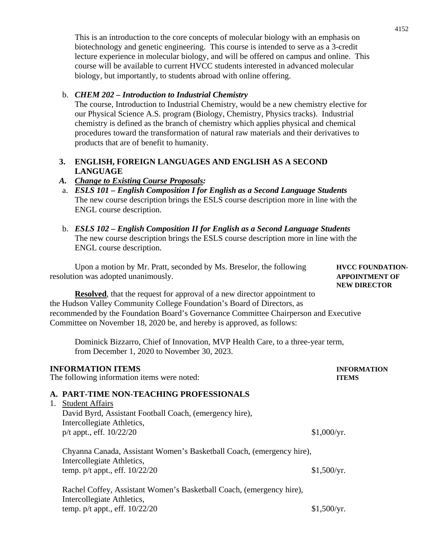This is an introduction to the core concepts of molecular biology with an emphasis on biotechnology and genetic engineering. This course is intended to serve as a 3-credit lecture experience in molecular biology, and will be offered on campus and online. This course will be available to current HVCC students interested in advanced molecular biology, but importantly, to students abroad with online offering.

#### b. *CHEM 202 – Introduction to Industrial Chemistry*

The course, Introduction to Industrial Chemistry, would be a new chemistry elective for our Physical Science A.S. program (Biology, Chemistry, Physics tracks). Industrial chemistry is defined as the branch of chemistry which applies physical and chemical procedures toward the transformation of natural raw materials and their derivatives to products that are of benefit to humanity.

## **3. ENGLISH, FOREIGN LANGUAGES AND ENGLISH AS A SECOND LANGUAGE**

### *A. Change to Existing Course Proposals:*

- a. *ESLS 101 – English Composition I for English as a Second Language Students* The new course description brings the ESLS course description more in line with the ENGL course description.
- b. *ESLS 102 – English Composition II for English as a Second Language Students* The new course description brings the ESLS course description more in line with the ENGL course description.

Upon a motion by Mr. Pratt, seconded by Ms. Breselor, the following **HVCC FOUNDATION**resolution was adopted unanimously. **APPOINTMENT OF**

**Resolved**, that the request for approval of a new director appointment to the Hudson Valley Community College Foundation's Board of Directors, as recommended by the Foundation Board's Governance Committee Chairperson and Executive Committee on November 18, 2020 be, and hereby is approved, as follows:

Dominick Bizzarro, Chief of Innovation, MVP Health Care, to a three-year term, from December 1, 2020 to November 30, 2023.

# **INFORMATION ITEMS INFORMATION**

The following information items were noted: **ITEMS**

#### **A. PART-TIME NON-TEACHING PROFESSIONALS**

1. Student Affairs

David Byrd, Assistant Football Coach, (emergency hire), Intercollegiate Athletics, p/t appt., eff.  $10/22/20$  \$1,000/yr.

Chyanna Canada, Assistant Women's Basketball Coach, (emergency hire), Intercollegiate Athletics, temp.  $p/t$  appt., eff.  $10/22/20$  \$1,500/yr.

Rachel Coffey, Assistant Women's Basketball Coach, (emergency hire), Intercollegiate Athletics, temp.  $p/t$  appt., eff.  $10/22/20$  \$1,500/yr.

**NEW DIRECTOR**